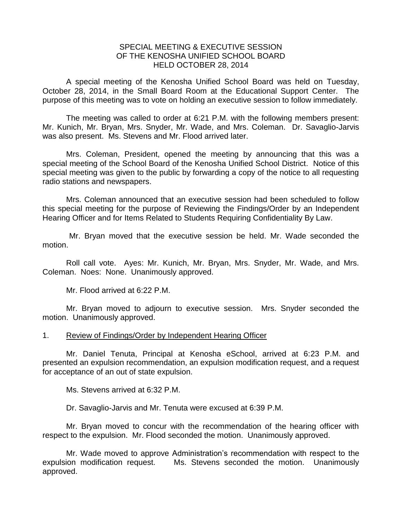## SPECIAL MEETING & EXECUTIVE SESSION OF THE KENOSHA UNIFIED SCHOOL BOARD HELD OCTOBER 28, 2014

A special meeting of the Kenosha Unified School Board was held on Tuesday, October 28, 2014, in the Small Board Room at the Educational Support Center. The purpose of this meeting was to vote on holding an executive session to follow immediately.

The meeting was called to order at 6:21 P.M. with the following members present: Mr. Kunich, Mr. Bryan, Mrs. Snyder, Mr. Wade, and Mrs. Coleman. Dr. Savaglio-Jarvis was also present. Ms. Stevens and Mr. Flood arrived later.

Mrs. Coleman, President, opened the meeting by announcing that this was a special meeting of the School Board of the Kenosha Unified School District. Notice of this special meeting was given to the public by forwarding a copy of the notice to all requesting radio stations and newspapers.

Mrs. Coleman announced that an executive session had been scheduled to follow this special meeting for the purpose of Reviewing the Findings/Order by an Independent Hearing Officer and for Items Related to Students Requiring Confidentiality By Law.

Mr. Bryan moved that the executive session be held. Mr. Wade seconded the motion.

Roll call vote. Ayes: Mr. Kunich, Mr. Bryan, Mrs. Snyder, Mr. Wade, and Mrs. Coleman. Noes: None. Unanimously approved.

Mr. Flood arrived at 6:22 P.M.

Mr. Bryan moved to adjourn to executive session. Mrs. Snyder seconded the motion. Unanimously approved.

## 1. Review of Findings/Order by Independent Hearing Officer

Mr. Daniel Tenuta, Principal at Kenosha eSchool, arrived at 6:23 P.M. and presented an expulsion recommendation, an expulsion modification request, and a request for acceptance of an out of state expulsion.

Ms. Stevens arrived at 6:32 P.M.

Dr. Savaglio-Jarvis and Mr. Tenuta were excused at 6:39 P.M.

Mr. Bryan moved to concur with the recommendation of the hearing officer with respect to the expulsion. Mr. Flood seconded the motion. Unanimously approved.

Mr. Wade moved to approve Administration's recommendation with respect to the expulsion modification request. Ms. Stevens seconded the motion. Unanimously approved.